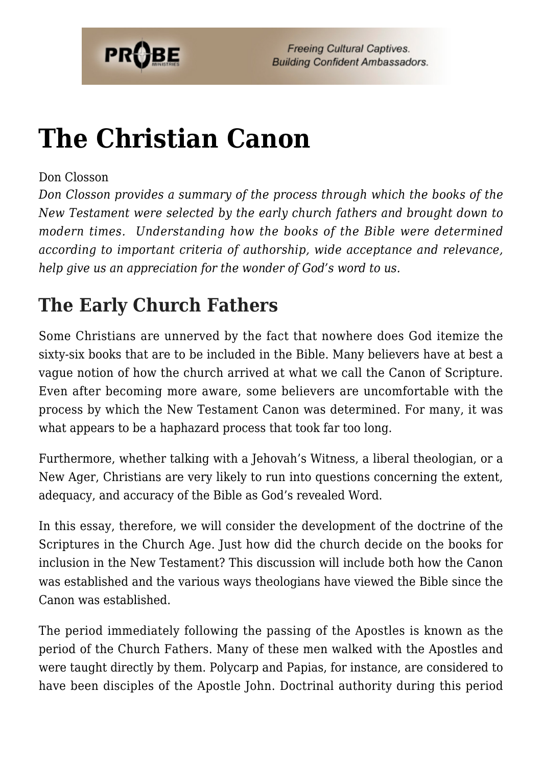

# **[The Christian Canon](https://probe.org/the-christian-canon/)**

#### Don Closson

*Don Closson provides a summary of the process through which the books of the New Testament were selected by the early church fathers and brought down to modern times. Understanding how the books of the Bible were determined according to important criteria of authorship, wide acceptance and relevance, help give us an appreciation for the wonder of God's word to us.*

## **The Early Church Fathers**

Some Christians are unnerved by the fact that nowhere does God itemize the sixty-six books that are to be included in the Bible. Many believers have at best a vague notion of how the church arrived at what we call the Canon of Scripture. Even after becoming more aware, some believers are uncomfortable with the process by which the New Testament Canon was determined. For many, it was what appears to be a haphazard process that took far too long.

Furthermore, whether talking with a Jehovah's Witness, a liberal theologian, or a New Ager, Christians are very likely to run into questions concerning the extent, adequacy, and accuracy of the Bible as God's revealed Word.

In this essay, therefore, we will consider the development of the doctrine of the Scriptures in the Church Age. Just how did the church decide on the books for inclusion in the New Testament? This discussion will include both how the Canon was established and the various ways theologians have viewed the Bible since the Canon was established.

The period immediately following the passing of the Apostles is known as the period of the Church Fathers. Many of these men walked with the Apostles and were taught directly by them. Polycarp and Papias, for instance, are considered to have been disciples of the Apostle John. Doctrinal authority during this period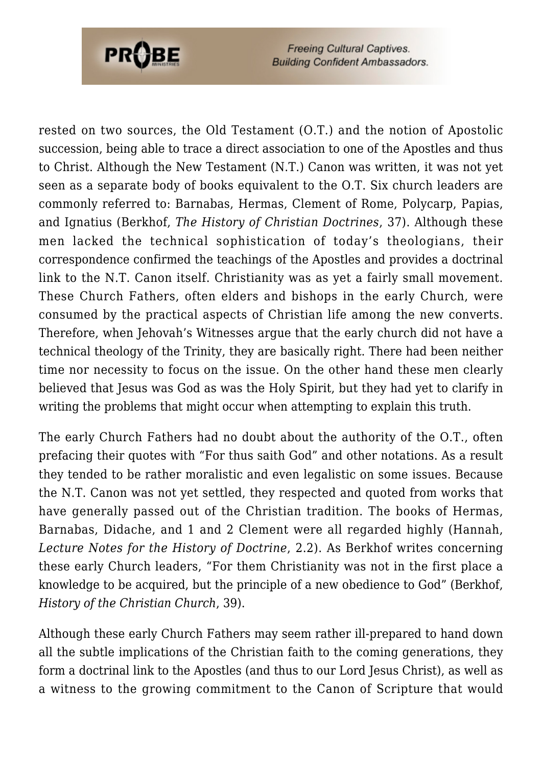

rested on two sources, the Old Testament (O.T.) and the notion of Apostolic succession, being able to trace a direct association to one of the Apostles and thus to Christ. Although the New Testament (N.T.) Canon was written, it was not yet seen as a separate body of books equivalent to the O.T. Six church leaders are commonly referred to: Barnabas, Hermas, Clement of Rome, Polycarp, Papias, and Ignatius (Berkhof, *The History of Christian Doctrines*, 37). Although these men lacked the technical sophistication of today's theologians, their correspondence confirmed the teachings of the Apostles and provides a doctrinal link to the N.T. Canon itself. Christianity was as yet a fairly small movement. These Church Fathers, often elders and bishops in the early Church, were consumed by the practical aspects of Christian life among the new converts. Therefore, when Jehovah's Witnesses argue that the early church did not have a technical theology of the Trinity, they are basically right. There had been neither time nor necessity to focus on the issue. On the other hand these men clearly believed that Jesus was God as was the Holy Spirit, but they had yet to clarify in writing the problems that might occur when attempting to explain this truth.

The early Church Fathers had no doubt about the authority of the O.T., often prefacing their quotes with "For thus saith God" and other notations. As a result they tended to be rather moralistic and even legalistic on some issues. Because the N.T. Canon was not yet settled, they respected and quoted from works that have generally passed out of the Christian tradition. The books of Hermas, Barnabas, Didache, and 1 and 2 Clement were all regarded highly (Hannah, *Lecture Notes for the History of Doctrine*, 2.2). As Berkhof writes concerning these early Church leaders, "For them Christianity was not in the first place a knowledge to be acquired, but the principle of a new obedience to God" (Berkhof, *History of the Christian Church*, 39).

Although these early Church Fathers may seem rather ill-prepared to hand down all the subtle implications of the Christian faith to the coming generations, they form a doctrinal link to the Apostles (and thus to our Lord Jesus Christ), as well as a witness to the growing commitment to the Canon of Scripture that would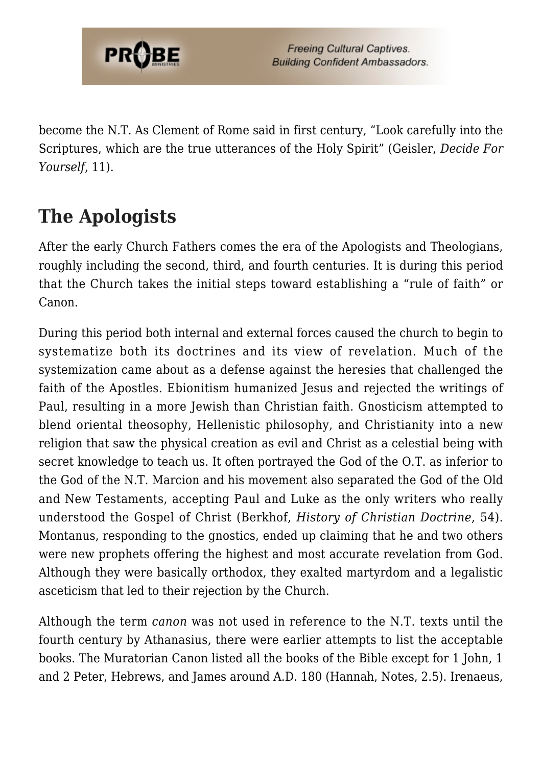

become the N.T. As Clement of Rome said in first century, "Look carefully into the Scriptures, which are the true utterances of the Holy Spirit" (Geisler, *Decide For Yourself*, 11).

## **The Apologists**

After the early Church Fathers comes the era of the Apologists and Theologians, roughly including the second, third, and fourth centuries. It is during this period that the Church takes the initial steps toward establishing a "rule of faith" or Canon.

During this period both internal and external forces caused the church to begin to systematize both its doctrines and its view of revelation. Much of the systemization came about as a defense against the heresies that challenged the faith of the Apostles. Ebionitism humanized Jesus and rejected the writings of Paul, resulting in a more Jewish than Christian faith. Gnosticism attempted to blend oriental theosophy, Hellenistic philosophy, and Christianity into a new religion that saw the physical creation as evil and Christ as a celestial being with secret knowledge to teach us. It often portrayed the God of the O.T. as inferior to the God of the N.T. Marcion and his movement also separated the God of the Old and New Testaments, accepting Paul and Luke as the only writers who really understood the Gospel of Christ (Berkhof, *History of Christian Doctrine*, 54). Montanus, responding to the gnostics, ended up claiming that he and two others were new prophets offering the highest and most accurate revelation from God. Although they were basically orthodox, they exalted martyrdom and a legalistic asceticism that led to their rejection by the Church.

Although the term *canon* was not used in reference to the N.T. texts until the fourth century by Athanasius, there were earlier attempts to list the acceptable books. The Muratorian Canon listed all the books of the Bible except for 1 John, 1 and 2 Peter, Hebrews, and James around A.D. 180 (Hannah, Notes, 2.5). Irenaeus,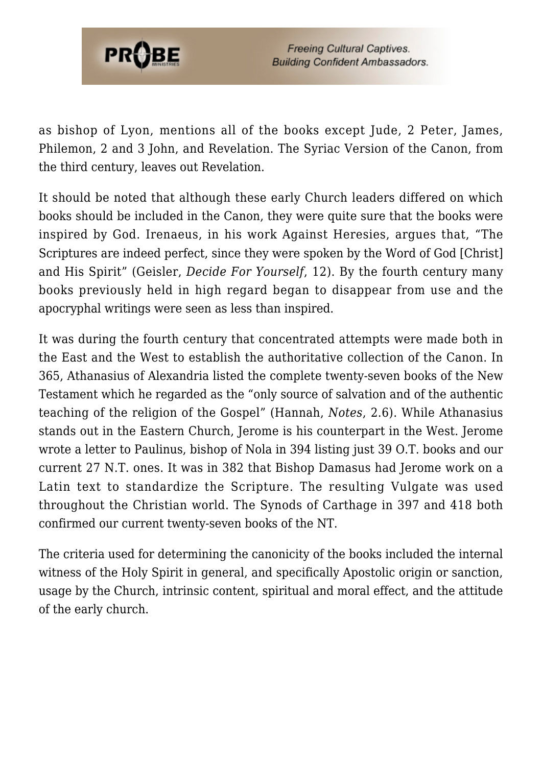

as bishop of Lyon, mentions all of the books except Jude, 2 Peter, James, Philemon, 2 and 3 John, and Revelation. The Syriac Version of the Canon, from the third century, leaves out Revelation.

It should be noted that although these early Church leaders differed on which books should be included in the Canon, they were quite sure that the books were inspired by God. Irenaeus, in his work Against Heresies, argues that, "The Scriptures are indeed perfect, since they were spoken by the Word of God [Christ] and His Spirit" (Geisler, *Decide For Yourself*, 12). By the fourth century many books previously held in high regard began to disappear from use and the apocryphal writings were seen as less than inspired.

It was during the fourth century that concentrated attempts were made both in the East and the West to establish the authoritative collection of the Canon. In 365, Athanasius of Alexandria listed the complete twenty-seven books of the New Testament which he regarded as the "only source of salvation and of the authentic teaching of the religion of the Gospel" (Hannah, *Notes*, 2.6). While Athanasius stands out in the Eastern Church, Jerome is his counterpart in the West. Jerome wrote a letter to Paulinus, bishop of Nola in 394 listing just 39 O.T. books and our current 27 N.T. ones. It was in 382 that Bishop Damasus had Jerome work on a Latin text to standardize the Scripture. The resulting Vulgate was used throughout the Christian world. The Synods of Carthage in 397 and 418 both confirmed our current twenty-seven books of the NT.

The criteria used for determining the canonicity of the books included the internal witness of the Holy Spirit in general, and specifically Apostolic origin or sanction, usage by the Church, intrinsic content, spiritual and moral effect, and the attitude of the early church.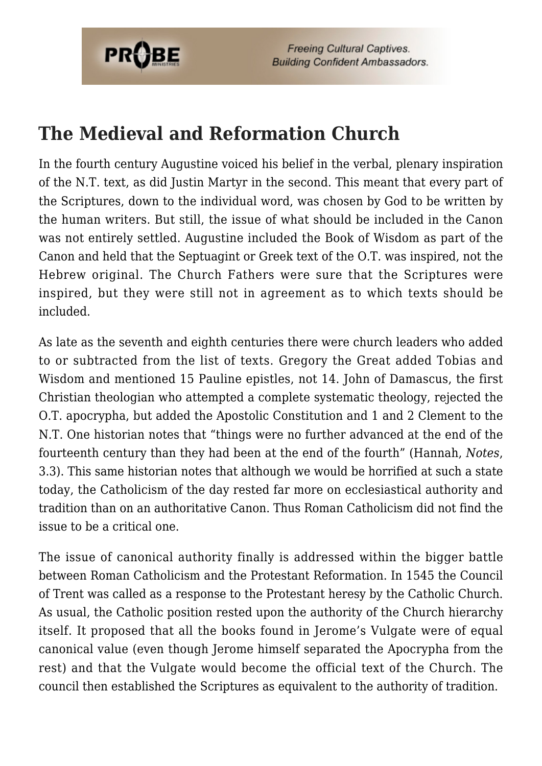

## **The Medieval and Reformation Church**

In the fourth century Augustine voiced his belief in the verbal, plenary inspiration of the N.T. text, as did Justin Martyr in the second. This meant that every part of the Scriptures, down to the individual word, was chosen by God to be written by the human writers. But still, the issue of what should be included in the Canon was not entirely settled. Augustine included the Book of Wisdom as part of the Canon and held that the Septuagint or Greek text of the O.T. was inspired, not the Hebrew original. The Church Fathers were sure that the Scriptures were inspired, but they were still not in agreement as to which texts should be included.

As late as the seventh and eighth centuries there were church leaders who added to or subtracted from the list of texts. Gregory the Great added Tobias and Wisdom and mentioned 15 Pauline epistles, not 14. John of Damascus, the first Christian theologian who attempted a complete systematic theology, rejected the O.T. apocrypha, but added the Apostolic Constitution and 1 and 2 Clement to the N.T. One historian notes that "things were no further advanced at the end of the fourteenth century than they had been at the end of the fourth" (Hannah, *Notes*, 3.3). This same historian notes that although we would be horrified at such a state today, the Catholicism of the day rested far more on ecclesiastical authority and tradition than on an authoritative Canon. Thus Roman Catholicism did not find the issue to be a critical one.

The issue of canonical authority finally is addressed within the bigger battle between Roman Catholicism and the Protestant Reformation. In 1545 the Council of Trent was called as a response to the Protestant heresy by the Catholic Church. As usual, the Catholic position rested upon the authority of the Church hierarchy itself. It proposed that all the books found in Jerome's Vulgate were of equal canonical value (even though Jerome himself separated the Apocrypha from the rest) and that the Vulgate would become the official text of the Church. The council then established the Scriptures as equivalent to the authority of tradition.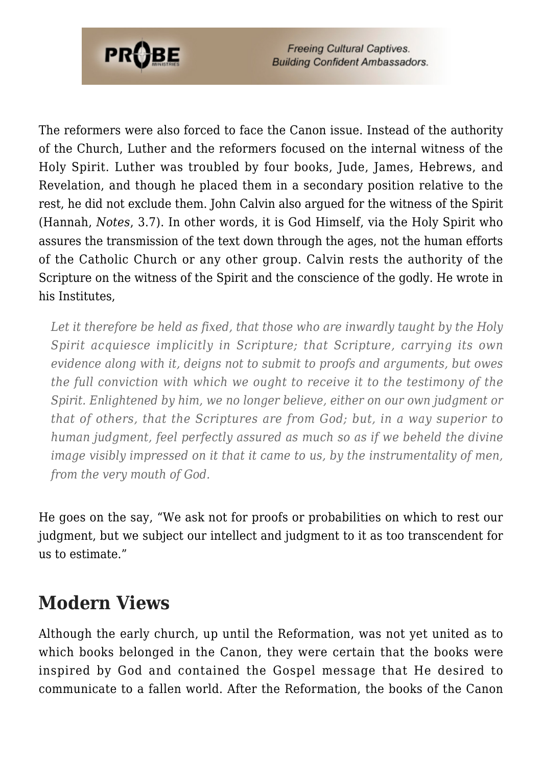

The reformers were also forced to face the Canon issue. Instead of the authority of the Church, Luther and the reformers focused on the internal witness of the Holy Spirit. Luther was troubled by four books, Jude, James, Hebrews, and Revelation, and though he placed them in a secondary position relative to the rest, he did not exclude them. John Calvin also argued for the witness of the Spirit (Hannah, *Notes*, 3.7). In other words, it is God Himself, via the Holy Spirit who assures the transmission of the text down through the ages, not the human efforts of the Catholic Church or any other group. Calvin rests the authority of the Scripture on the witness of the Spirit and the conscience of the godly. He wrote in his Institutes,

*Let it therefore be held as fixed, that those who are inwardly taught by the Holy Spirit acquiesce implicitly in Scripture; that Scripture, carrying its own evidence along with it, deigns not to submit to proofs and arguments, but owes the full conviction with which we ought to receive it to the testimony of the Spirit. Enlightened by him, we no longer believe, either on our own judgment or that of others, that the Scriptures are from God; but, in a way superior to human judgment, feel perfectly assured as much so as if we beheld the divine image visibly impressed on it that it came to us, by the instrumentality of men, from the very mouth of God.*

He goes on the say, "We ask not for proofs or probabilities on which to rest our judgment, but we subject our intellect and judgment to it as too transcendent for us to estimate."

#### **Modern Views**

Although the early church, up until the Reformation, was not yet united as to which books belonged in the Canon, they were certain that the books were inspired by God and contained the Gospel message that He desired to communicate to a fallen world. After the Reformation, the books of the Canon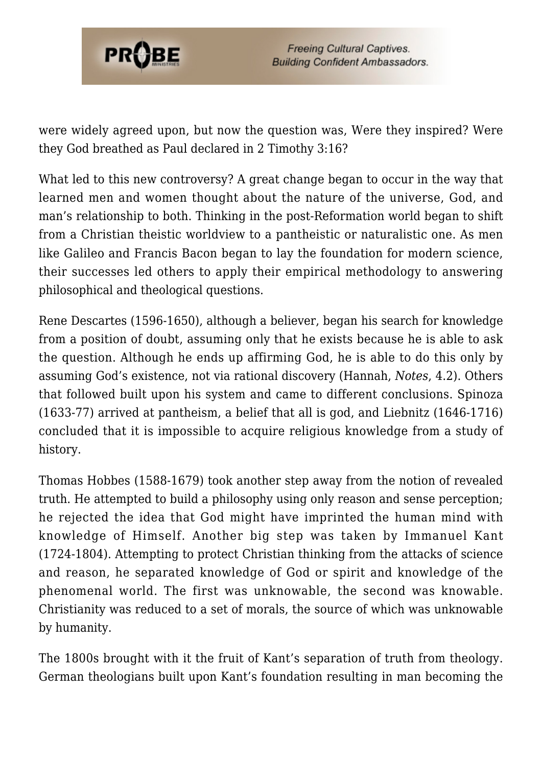

were widely agreed upon, but now the question was, Were they inspired? Were they God breathed as Paul declared in 2 Timothy 3:16?

What led to this new controversy? A great change began to occur in the way that learned men and women thought about the nature of the universe, God, and man's relationship to both. Thinking in the post-Reformation world began to shift from a Christian theistic worldview to a pantheistic or naturalistic one. As men like Galileo and Francis Bacon began to lay the foundation for modern science, their successes led others to apply their empirical methodology to answering philosophical and theological questions.

Rene Descartes (1596-1650), although a believer, began his search for knowledge from a position of doubt, assuming only that he exists because he is able to ask the question. Although he ends up affirming God, he is able to do this only by assuming God's existence, not via rational discovery (Hannah, *Notes*, 4.2). Others that followed built upon his system and came to different conclusions. Spinoza (1633-77) arrived at pantheism, a belief that all is god, and Liebnitz (1646-1716) concluded that it is impossible to acquire religious knowledge from a study of history.

Thomas Hobbes (1588-1679) took another step away from the notion of revealed truth. He attempted to build a philosophy using only reason and sense perception; he rejected the idea that God might have imprinted the human mind with knowledge of Himself. Another big step was taken by Immanuel Kant (1724-1804). Attempting to protect Christian thinking from the attacks of science and reason, he separated knowledge of God or spirit and knowledge of the phenomenal world. The first was unknowable, the second was knowable. Christianity was reduced to a set of morals, the source of which was unknowable by humanity.

The 1800s brought with it the fruit of Kant's separation of truth from theology. German theologians built upon Kant's foundation resulting in man becoming the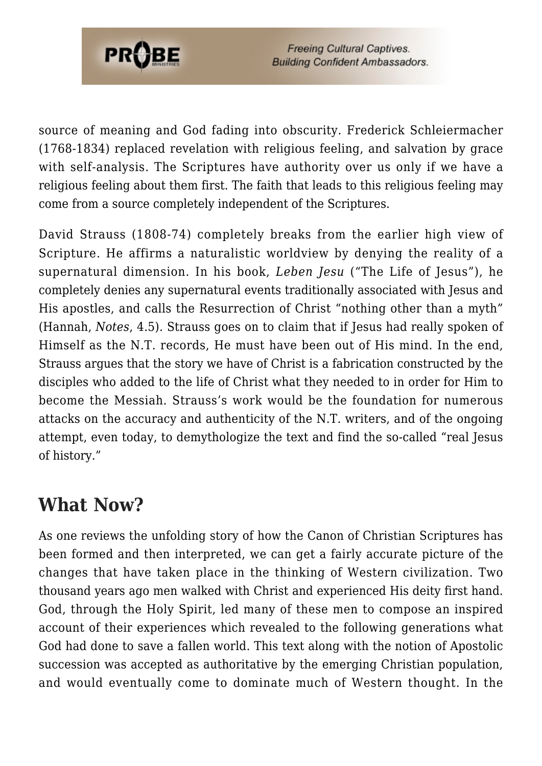

source of meaning and God fading into obscurity. Frederick Schleiermacher (1768-1834) replaced revelation with religious feeling, and salvation by grace with self-analysis. The Scriptures have authority over us only if we have a religious feeling about them first. The faith that leads to this religious feeling may come from a source completely independent of the Scriptures.

David Strauss (1808-74) completely breaks from the earlier high view of Scripture. He affirms a naturalistic worldview by denying the reality of a supernatural dimension. In his book, *Leben Jesu* ("The Life of Jesus"), he completely denies any supernatural events traditionally associated with Jesus and His apostles, and calls the Resurrection of Christ "nothing other than a myth" (Hannah, *Notes*, 4.5). Strauss goes on to claim that if Jesus had really spoken of Himself as the N.T. records, He must have been out of His mind. In the end, Strauss argues that the story we have of Christ is a fabrication constructed by the disciples who added to the life of Christ what they needed to in order for Him to become the Messiah. Strauss's work would be the foundation for numerous attacks on the accuracy and authenticity of the N.T. writers, and of the ongoing attempt, even today, to demythologize the text and find the so-called "real Jesus of history."

#### **What Now?**

As one reviews the unfolding story of how the Canon of Christian Scriptures has been formed and then interpreted, we can get a fairly accurate picture of the changes that have taken place in the thinking of Western civilization. Two thousand years ago men walked with Christ and experienced His deity first hand. God, through the Holy Spirit, led many of these men to compose an inspired account of their experiences which revealed to the following generations what God had done to save a fallen world. This text along with the notion of Apostolic succession was accepted as authoritative by the emerging Christian population, and would eventually come to dominate much of Western thought. In the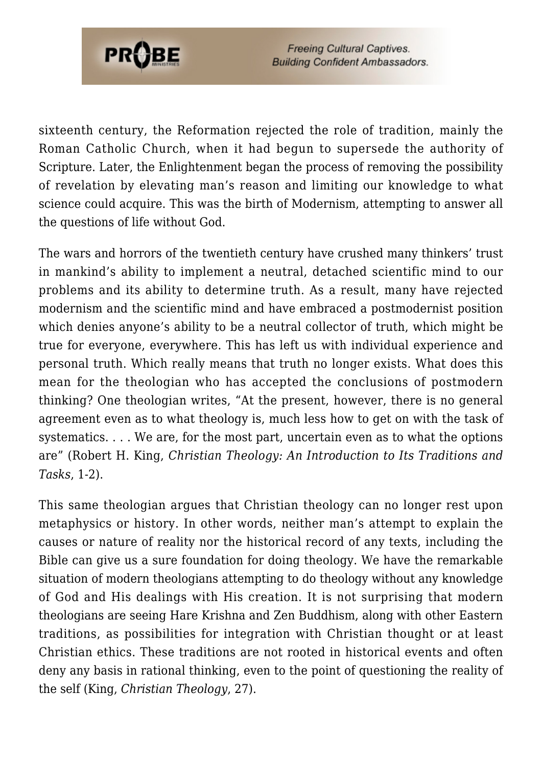

sixteenth century, the Reformation rejected the role of tradition, mainly the Roman Catholic Church, when it had begun to supersede the authority of Scripture. Later, the Enlightenment began the process of removing the possibility of revelation by elevating man's reason and limiting our knowledge to what science could acquire. This was the birth of Modernism, attempting to answer all the questions of life without God.

The wars and horrors of the twentieth century have crushed many thinkers' trust in mankind's ability to implement a neutral, detached scientific mind to our problems and its ability to determine truth. As a result, many have rejected modernism and the scientific mind and have embraced a postmodernist position which denies anyone's ability to be a neutral collector of truth, which might be true for everyone, everywhere. This has left us with individual experience and personal truth. Which really means that truth no longer exists. What does this mean for the theologian who has accepted the conclusions of postmodern thinking? One theologian writes, "At the present, however, there is no general agreement even as to what theology is, much less how to get on with the task of systematics. . . . We are, for the most part, uncertain even as to what the options are" (Robert H. King, *Christian Theology: An Introduction to Its Traditions and Tasks*, 1-2).

This same theologian argues that Christian theology can no longer rest upon metaphysics or history. In other words, neither man's attempt to explain the causes or nature of reality nor the historical record of any texts, including the Bible can give us a sure foundation for doing theology. We have the remarkable situation of modern theologians attempting to do theology without any knowledge of God and His dealings with His creation. It is not surprising that modern theologians are seeing Hare Krishna and Zen Buddhism, along with other Eastern traditions, as possibilities for integration with Christian thought or at least Christian ethics. These traditions are not rooted in historical events and often deny any basis in rational thinking, even to the point of questioning the reality of the self (King, *Christian Theology*, 27).